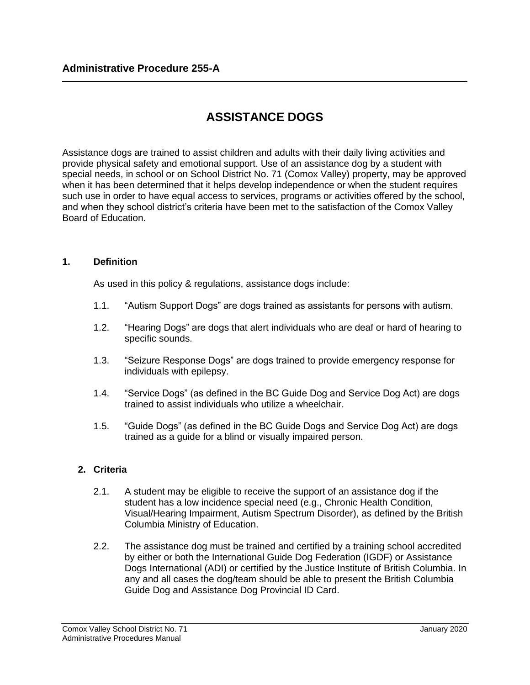# **ASSISTANCE DOGS**

Assistance dogs are trained to assist children and adults with their daily living activities and provide physical safety and emotional support. Use of an assistance dog by a student with special needs, in school or on School District No. 71 (Comox Valley) property, may be approved when it has been determined that it helps develop independence or when the student requires such use in order to have equal access to services, programs or activities offered by the school, and when they school district's criteria have been met to the satisfaction of the Comox Valley Board of Education.

#### **1. Definition**

As used in this policy & regulations, assistance dogs include:

- 1.1. "Autism Support Dogs" are dogs trained as assistants for persons with autism.
- 1.2. "Hearing Dogs" are dogs that alert individuals who are deaf or hard of hearing to specific sounds.
- 1.3. "Seizure Response Dogs" are dogs trained to provide emergency response for individuals with epilepsy.
- 1.4. "Service Dogs" (as defined in the BC Guide Dog and Service Dog Act) are dogs trained to assist individuals who utilize a wheelchair.
- 1.5. "Guide Dogs" (as defined in the BC Guide Dogs and Service Dog Act) are dogs trained as a guide for a blind or visually impaired person.

## **2. Criteria**

- 2.1. A student may be eligible to receive the support of an assistance dog if the student has a low incidence special need (e.g., Chronic Health Condition, Visual/Hearing Impairment, Autism Spectrum Disorder), as defined by the British Columbia Ministry of Education.
- 2.2. The assistance dog must be trained and certified by a training school accredited by either or both the International Guide Dog Federation (IGDF) or Assistance Dogs International (ADI) or certified by the Justice Institute of British Columbia. In any and all cases the dog/team should be able to present the British Columbia Guide Dog and Assistance Dog Provincial ID Card.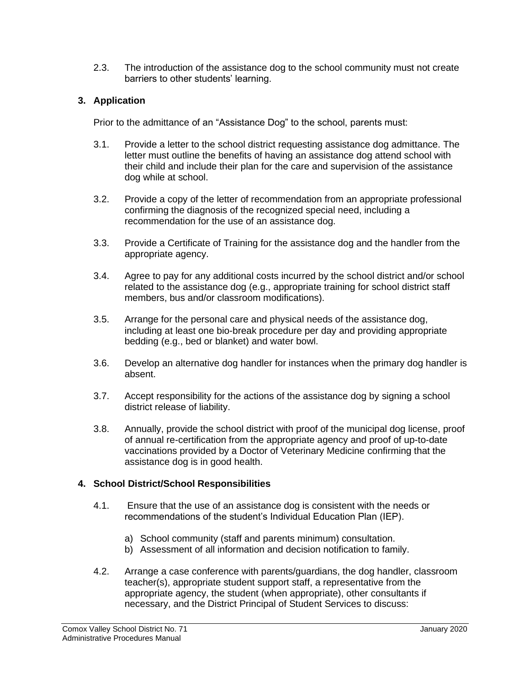2.3. The introduction of the assistance dog to the school community must not create barriers to other students' learning.

# **3. Application**

Prior to the admittance of an "Assistance Dog" to the school, parents must:

- 3.1. Provide a letter to the school district requesting assistance dog admittance. The letter must outline the benefits of having an assistance dog attend school with their child and include their plan for the care and supervision of the assistance dog while at school.
- 3.2. Provide a copy of the letter of recommendation from an appropriate professional confirming the diagnosis of the recognized special need, including a recommendation for the use of an assistance dog.
- 3.3. Provide a Certificate of Training for the assistance dog and the handler from the appropriate agency.
- 3.4. Agree to pay for any additional costs incurred by the school district and/or school related to the assistance dog (e.g., appropriate training for school district staff members, bus and/or classroom modifications).
- 3.5. Arrange for the personal care and physical needs of the assistance dog, including at least one bio-break procedure per day and providing appropriate bedding (e.g., bed or blanket) and water bowl.
- 3.6. Develop an alternative dog handler for instances when the primary dog handler is absent.
- 3.7. Accept responsibility for the actions of the assistance dog by signing a school district release of liability.
- 3.8. Annually, provide the school district with proof of the municipal dog license, proof of annual re-certification from the appropriate agency and proof of up-to-date vaccinations provided by a Doctor of Veterinary Medicine confirming that the assistance dog is in good health.

## **4. School District/School Responsibilities**

- 4.1. Ensure that the use of an assistance dog is consistent with the needs or recommendations of the student's Individual Education Plan (IEP).
	- a) School community (staff and parents minimum) consultation.
	- b) Assessment of all information and decision notification to family.
- 4.2. Arrange a case conference with parents/guardians, the dog handler, classroom teacher(s), appropriate student support staff, a representative from the appropriate agency, the student (when appropriate), other consultants if necessary, and the District Principal of Student Services to discuss: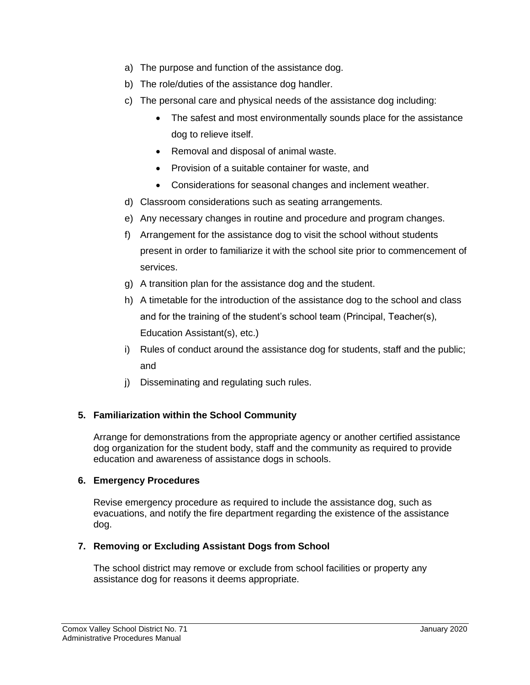- a) The purpose and function of the assistance dog.
- b) The role/duties of the assistance dog handler.
- c) The personal care and physical needs of the assistance dog including:
	- The safest and most environmentally sounds place for the assistance dog to relieve itself.
	- Removal and disposal of animal waste.
	- Provision of a suitable container for waste, and
	- Considerations for seasonal changes and inclement weather.
- d) Classroom considerations such as seating arrangements.
- e) Any necessary changes in routine and procedure and program changes.
- f) Arrangement for the assistance dog to visit the school without students present in order to familiarize it with the school site prior to commencement of services.
- g) A transition plan for the assistance dog and the student.
- h) A timetable for the introduction of the assistance dog to the school and class and for the training of the student's school team (Principal, Teacher(s), Education Assistant(s), etc.)
- i) Rules of conduct around the assistance dog for students, staff and the public; and
- j) Disseminating and regulating such rules.

#### **5. Familiarization within the School Community**

Arrange for demonstrations from the appropriate agency or another certified assistance dog organization for the student body, staff and the community as required to provide education and awareness of assistance dogs in schools.

#### **6. Emergency Procedures**

Revise emergency procedure as required to include the assistance dog, such as evacuations, and notify the fire department regarding the existence of the assistance dog.

#### **7. Removing or Excluding Assistant Dogs from School**

The school district may remove or exclude from school facilities or property any assistance dog for reasons it deems appropriate.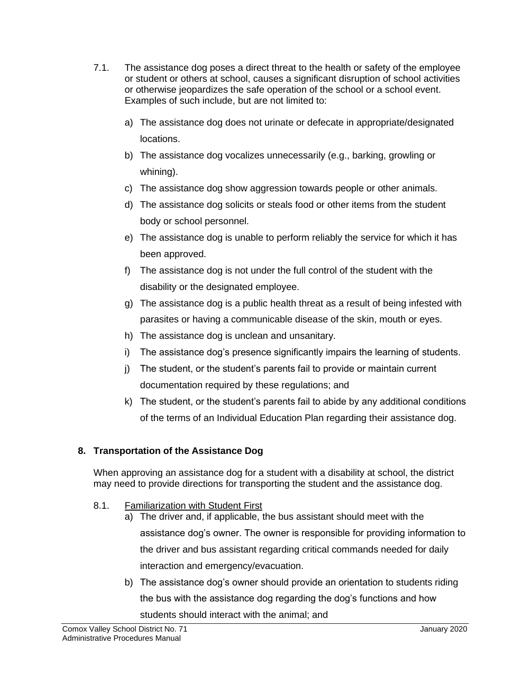- 7.1. The assistance dog poses a direct threat to the health or safety of the employee or student or others at school, causes a significant disruption of school activities or otherwise jeopardizes the safe operation of the school or a school event. Examples of such include, but are not limited to:
	- a) The assistance dog does not urinate or defecate in appropriate/designated locations.
	- b) The assistance dog vocalizes unnecessarily (e.g., barking, growling or whining).
	- c) The assistance dog show aggression towards people or other animals.
	- d) The assistance dog solicits or steals food or other items from the student body or school personnel.
	- e) The assistance dog is unable to perform reliably the service for which it has been approved.
	- f) The assistance dog is not under the full control of the student with the disability or the designated employee.
	- g) The assistance dog is a public health threat as a result of being infested with parasites or having a communicable disease of the skin, mouth or eyes.
	- h) The assistance dog is unclean and unsanitary.
	- i) The assistance dog's presence significantly impairs the learning of students.
	- j) The student, or the student's parents fail to provide or maintain current documentation required by these regulations; and
	- k) The student, or the student's parents fail to abide by any additional conditions of the terms of an Individual Education Plan regarding their assistance dog.

## **8. Transportation of the Assistance Dog**

When approving an assistance dog for a student with a disability at school, the district may need to provide directions for transporting the student and the assistance dog.

- 8.1. Familiarization with Student First
	- a) The driver and, if applicable, the bus assistant should meet with the assistance dog's owner. The owner is responsible for providing information to the driver and bus assistant regarding critical commands needed for daily interaction and emergency/evacuation.
	- b) The assistance dog's owner should provide an orientation to students riding the bus with the assistance dog regarding the dog's functions and how students should interact with the animal; and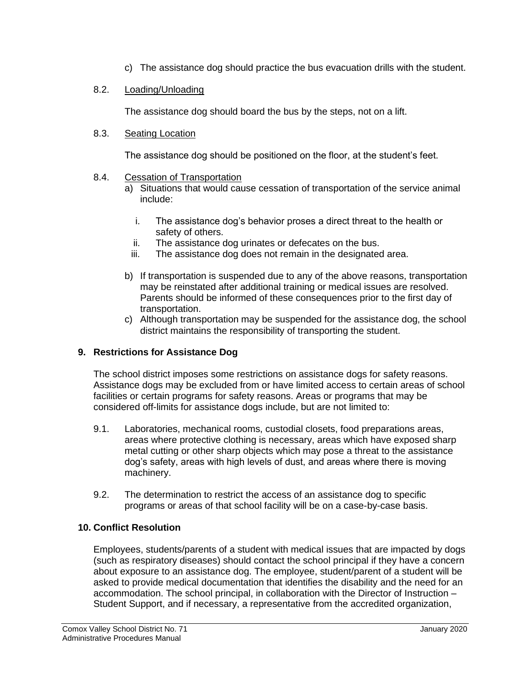c) The assistance dog should practice the bus evacuation drills with the student.

# 8.2. Loading/Unloading

The assistance dog should board the bus by the steps, not on a lift.

#### 8.3. Seating Location

The assistance dog should be positioned on the floor, at the student's feet.

#### 8.4. Cessation of Transportation

- a) Situations that would cause cessation of transportation of the service animal include:
	- i. The assistance dog's behavior proses a direct threat to the health or safety of others.
	- ii. The assistance dog urinates or defecates on the bus.
	- iii. The assistance dog does not remain in the designated area.
- b) If transportation is suspended due to any of the above reasons, transportation may be reinstated after additional training or medical issues are resolved. Parents should be informed of these consequences prior to the first day of transportation.
- c) Although transportation may be suspended for the assistance dog, the school district maintains the responsibility of transporting the student.

## **9. Restrictions for Assistance Dog**

The school district imposes some restrictions on assistance dogs for safety reasons. Assistance dogs may be excluded from or have limited access to certain areas of school facilities or certain programs for safety reasons. Areas or programs that may be considered off-limits for assistance dogs include, but are not limited to:

- 9.1. Laboratories, mechanical rooms, custodial closets, food preparations areas, areas where protective clothing is necessary, areas which have exposed sharp metal cutting or other sharp objects which may pose a threat to the assistance dog's safety, areas with high levels of dust, and areas where there is moving machinery.
- 9.2. The determination to restrict the access of an assistance dog to specific programs or areas of that school facility will be on a case-by-case basis.

## **10. Conflict Resolution**

Employees, students/parents of a student with medical issues that are impacted by dogs (such as respiratory diseases) should contact the school principal if they have a concern about exposure to an assistance dog. The employee, student/parent of a student will be asked to provide medical documentation that identifies the disability and the need for an accommodation. The school principal, in collaboration with the Director of Instruction – Student Support, and if necessary, a representative from the accredited organization,